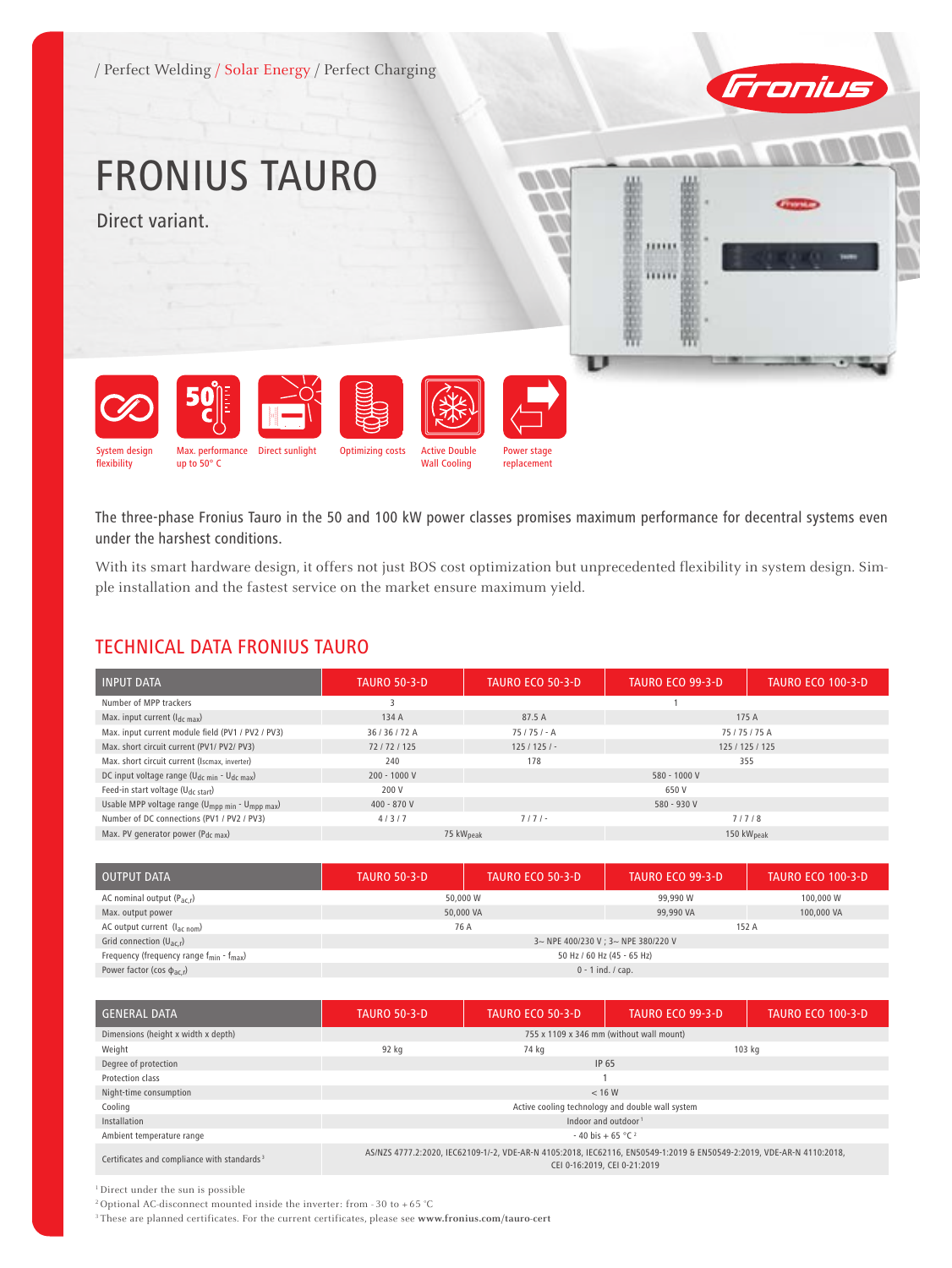/ Perfect Welding / Solar Energy / Perfect Charging



# FRONIUS TAURO

Direct variant.





System design Max. performance Direct sunlight Optimizing costs up to 50° C

The three-phase Fronius Tauro in the 50 and 100 kW power classes promises maximum performance for decentral systems even under the harshest conditions.

Power stage replacement

Active Double Wall Cooling

With its smart hardware design, it offers not just BOS cost optimization but unprecedented flexibility in system design. Simple installation and the fastest service on the market ensure maximum yield.

# TECHNICAL DATA FRONIUS TAURO

| <b>INPUT DATA</b>                                                       | <b>TAURO 50-3-D</b> | <b>TAURO ECO 50-3-D</b>                         | TAURO ECO 99-3-D | <b>TAURO ECO 100-3-D</b> |
|-------------------------------------------------------------------------|---------------------|-------------------------------------------------|------------------|--------------------------|
| Number of MPP trackers                                                  |                     |                                                 |                  |                          |
| Max. input current $(I_{dc max})$                                       | 134 A               | 87.5 A                                          |                  | 175 A                    |
| Max. input current module field (PV1 / PV2 / PV3)                       | 36/36/72A           | $75/75/- A$                                     | 75/75/75A        |                          |
| Max. short circuit current (PV1/ PV2/ PV3)                              | 72/72/125           | $125/125/-$                                     | 125 / 125 / 125  |                          |
| Max. short circuit current (Iscmax, inverter)                           | 240                 | 178                                             | 355              |                          |
| DC input voltage range (U <sub>dc min</sub> - U <sub>dc max</sub> )     | 200 - 1000 V        | 580 - 1000 V                                    |                  |                          |
| Feed-in start voltage (U <sub>dc start</sub> )                          | 200 V               | 650 V                                           |                  |                          |
| Usable MPP voltage range (U <sub>mpp min</sub> - U <sub>mpp max</sub> ) | $400 - 870V$        | 580 - 930 V                                     |                  |                          |
| Number of DC connections (PV1 / PV2 / PV3)                              | 4/3/7               | $7/7$ / -<br>7/7/8                              |                  |                          |
| Max. PV generator power ( $P_{dc\,max}$ )                               |                     | 75 kW <sub>peak</sub><br>150 kW <sub>peak</sub> |                  |                          |

| <b>OUTPUT DATA</b>                                             | <b>TAURO 50-3-D</b>                 | <b>TAURO ECO 50-3-D</b> | TAURO ECO 99-3-D | <b>TAURO ECO 100-3-D</b> |  |
|----------------------------------------------------------------|-------------------------------------|-------------------------|------------------|--------------------------|--|
| AC nominal output $(P_{ac,r})$                                 | 50,000 W                            |                         | 99,990 W         | 100,000 W                |  |
| Max. output power                                              | 50,000 VA                           |                         | 99,990 VA        | 100,000 VA               |  |
| AC output current $(l_{\text{ac nom}})$                        | 76 A                                |                         | 152 A            |                          |  |
| Grid connection $(U_{ac,r})$                                   | 3~ NPE 400/230 V ; 3~ NPE 380/220 V |                         |                  |                          |  |
| Frequency (frequency range $f_{\text{min}} - f_{\text{max}}$ ) | 50 Hz / 60 Hz (45 - 65 Hz)          |                         |                  |                          |  |
| Power factor (cos $\phi_{ac,r}$ )                              | $0 - 1$ ind. / cap.                 |                         |                  |                          |  |

| <b>GENERAL DATA</b>                                     | <b>TAURO 50-3-D</b>                              | <b>TAURO ECO 50-3-D</b>                                                                                                                               | <b>TAURO ECO 99-3-D</b> | <b>TAURO ECO 100-3-D</b> |
|---------------------------------------------------------|--------------------------------------------------|-------------------------------------------------------------------------------------------------------------------------------------------------------|-------------------------|--------------------------|
| Dimensions (height x width x depth)                     | 755 x 1109 x 346 mm (without wall mount)         |                                                                                                                                                       |                         |                          |
| Weight                                                  | 92 kg                                            | 74 ka                                                                                                                                                 |                         | 103 kg                   |
| Degree of protection                                    | IP 65                                            |                                                                                                                                                       |                         |                          |
| Protection class                                        |                                                  |                                                                                                                                                       |                         |                          |
| Night-time consumption                                  | < 16 W                                           |                                                                                                                                                       |                         |                          |
| Cooling                                                 | Active cooling technology and double wall system |                                                                                                                                                       |                         |                          |
| Installation                                            | Indoor and outdoor <sup>1</sup>                  |                                                                                                                                                       |                         |                          |
| Ambient temperature range                               | $-40$ bis + 65 °C <sup>2</sup>                   |                                                                                                                                                       |                         |                          |
| Certificates and compliance with standards <sup>3</sup> |                                                  | AS/NZS 4777.2:2020, IEC62109-1/-2, VDE-AR-N 4105:2018, IEC62116, EN50549-1:2019 & EN50549-2:2019, VDE-AR-N 4110:2018,<br>CEI 0-16:2019, CEI 0-21:2019 |                         |                          |

1 Direct under the sun is possible

<sup>2</sup> Optional AC-disconnect mounted inside the inverter: from - 30 to + 65 °C

3 These are planned certificates. For the current certificates, please see **www.fronius.com/tauro-cert**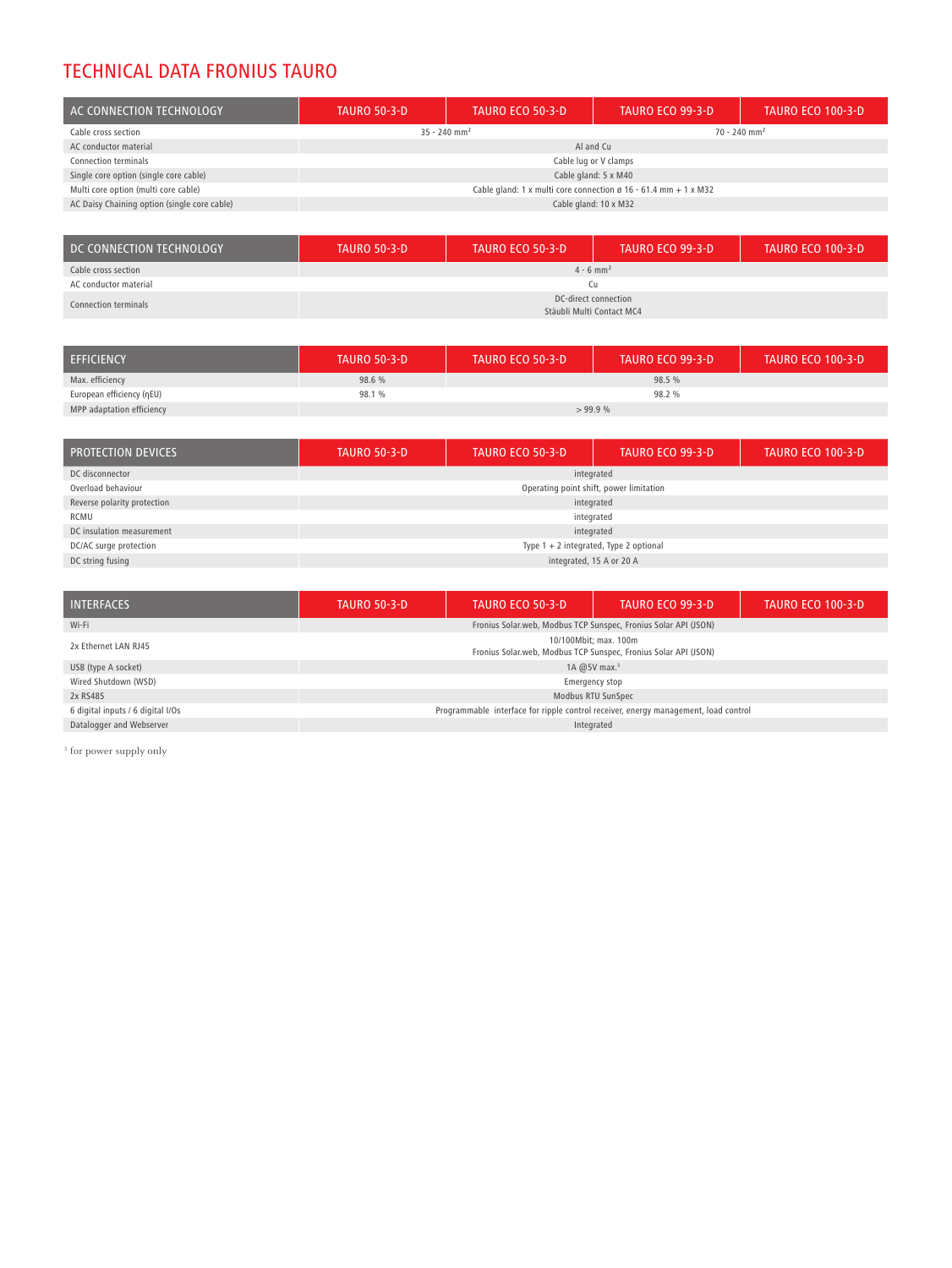### TECHNICAL DATA FRONIUS TAURO

| AC CONNECTION TECHNOLOGY                     | <b>TAURO 50-3-D</b>                                             | <b>TAURO ECO 50-3-D</b> | TAURO ECO 99-3-D           | <b>TAURO ECO 100-3-D</b> |
|----------------------------------------------|-----------------------------------------------------------------|-------------------------|----------------------------|--------------------------|
| Cable cross section                          | $35 - 240$ mm <sup>2</sup>                                      |                         | $70 - 240$ mm <sup>2</sup> |                          |
| AC conductor material                        | Al and Cu                                                       |                         |                            |                          |
| Connection terminals                         | Cable lug or V clamps                                           |                         |                            |                          |
| Single core option (single core cable)       | Cable gland: 5 x M40                                            |                         |                            |                          |
| Multi core option (multi core cable)         | Cable gland: 1 x multi core connection ø 16 - 61.4 mm + 1 x M32 |                         |                            |                          |
| AC Daisy Chaining option (single core cable) | Cable gland: 10 x M32                                           |                         |                            |                          |

| DC CONNECTION TECHNOLOGY | <b>TAURO 50-3-D</b>                               | <b>TAURO ECO 50-3-D</b> | <b>TAURO ECO 99-3-D</b> | <b>TAURO ECO 100-3-D</b> |
|--------------------------|---------------------------------------------------|-------------------------|-------------------------|--------------------------|
| Cable cross section      | $4 - 6$ mm <sup>2</sup>                           |                         |                         |                          |
| AC conductor material    | Сu                                                |                         |                         |                          |
| Connection terminals     | DC-direct connection<br>Stäubli Multi Contact MC4 |                         |                         |                          |

| <b>EFFICIENCY</b>         | <b>TAURO 50-3-D</b> | <b>TAURO ECO 50-3-D</b> | <b>TAURO ECO 99-3-D</b> | <b>TAURO ECO 100-3-D</b> |
|---------------------------|---------------------|-------------------------|-------------------------|--------------------------|
| Max. efficiency           | 98.6 %              |                         | 98.5%                   |                          |
| European efficiency (ηEU) | 98.1 %              |                         | 98.2 %                  |                          |
| MPP adaptation efficiency | >99.9%              |                         |                         |                          |

| <b>PROTECTION DEVICES</b>   | <b>TAURO 50-3-D</b>                      | <b>TAURO ECO 50-3-D</b>                 | <b>TAURO ECO 99-3-D</b> | <b>TAURO ECO 100-3-D</b> |  |
|-----------------------------|------------------------------------------|-----------------------------------------|-------------------------|--------------------------|--|
| DC disconnector             | integrated                               |                                         |                         |                          |  |
| Overload behaviour          |                                          | Operating point shift, power limitation |                         |                          |  |
| Reverse polarity protection | integrated                               |                                         |                         |                          |  |
| RCMU                        | integrated                               |                                         |                         |                          |  |
| DC insulation measurement   | integrated                               |                                         |                         |                          |  |
| DC/AC surge protection      | Type $1 + 2$ integrated, Type 2 optional |                                         |                         |                          |  |
| DC string fusing            | integrated, 15 A or 20 A                 |                                         |                         |                          |  |

| <b>INTERFACES</b>                 | <b>TAURO 50-3-D</b>                                                                        | <b>TAURO ECO 50-3-D</b> | <b>TAURO ECO 99-3-D</b> | <b>TAURO ECO 100-3-D</b> |
|-----------------------------------|--------------------------------------------------------------------------------------------|-------------------------|-------------------------|--------------------------|
| Wi-Fi                             | Fronius Solar.web, Modbus TCP Sunspec, Fronius Solar API (JSON)                            |                         |                         |                          |
| 2x Ethernet LAN RJ45              | 10/100 Mbit: max. 100 m<br>Fronius Solar.web, Modbus TCP Sunspec, Fronius Solar API (JSON) |                         |                         |                          |
| USB (type A socket)               | 1A $@5V$ max. <sup>3</sup>                                                                 |                         |                         |                          |
| Wired Shutdown (WSD)              | Emergency stop                                                                             |                         |                         |                          |
| 2x RS485                          | Modbus RTU SunSpec                                                                         |                         |                         |                          |
| 6 digital inputs / 6 digital I/Os | Programmable interface for ripple control receiver, energy management, load control        |                         |                         |                          |
| Datalogger and Webserver          | Integrated                                                                                 |                         |                         |                          |

<sup>3</sup> for power supply only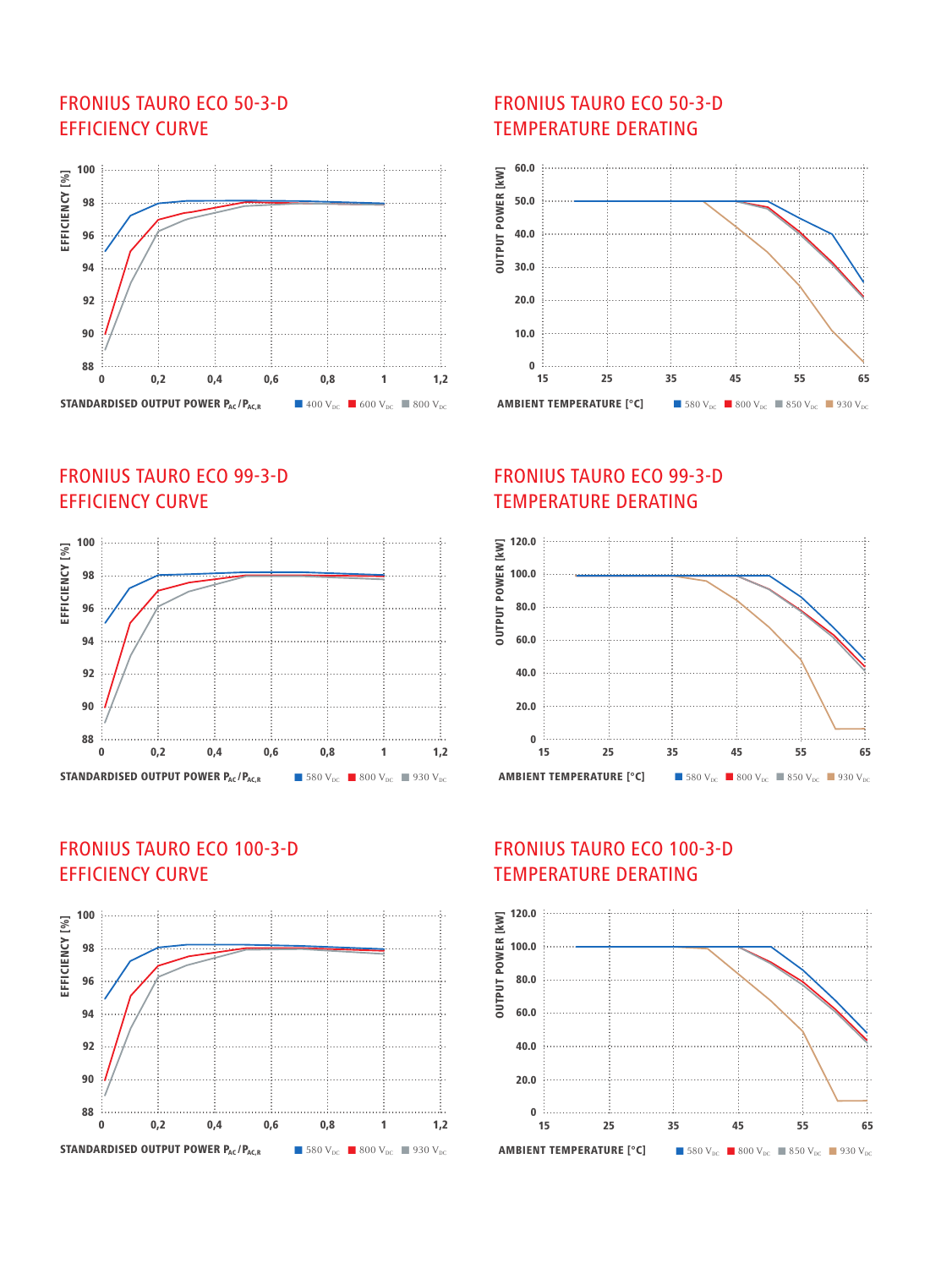#### FRONIUS TAURO ECO 50-3-D EFFICIENCY CURVE



# FRONIUS TAURO ECO 99-3-D EFFICIENCY CURVE



#### FRONIUS TAURO ECO 100-3-D EFFICIENCY CURVE



#### FRONIUS TAURO ECO 50-3-D TEMPERATURE DERATING



#### FRONIUS TAURO ECO 99-3-D TEMPERATURE DERATING



# FRONIUS TAURO ECO 100-3-D TEMPERATURE DERATING